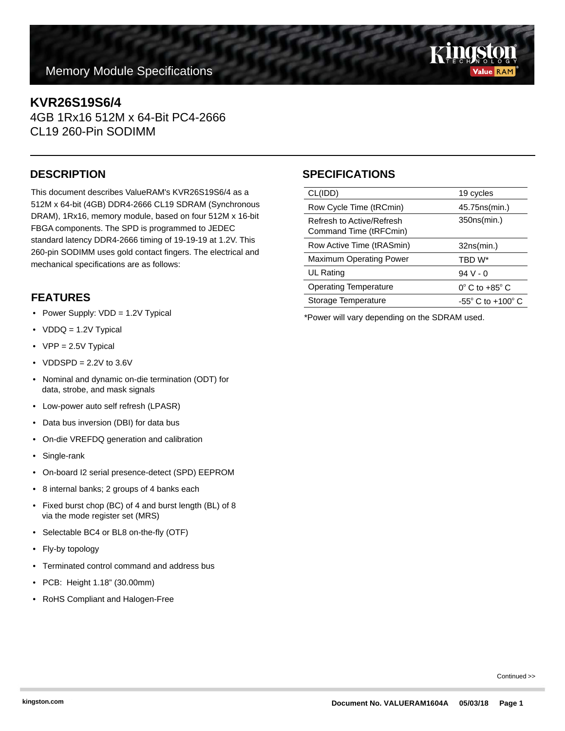# **Memory Module Specifications**

# **KVR26S19S6/4**

4GB 1Rx16 512M x 64-Bit PC4-2666 CL19 260-Pin SODIMM

This document describes ValueRAM's KVR26S19S6/4 as a 512M x 64-bit (4GB) DDR4-2666 CL19 SDRAM (Synchronous DRAM), 1Rx16, memory module, based on four 512M x 16-bit FBGA components. The SPD is programmed to JEDEC standard latency DDR4-2666 timing of 19-19-19 at 1.2V. This 260-pin SODIMM uses gold contact fingers. The electrical and mechanical specifications are as follows:

### **FEATURES**

- Power Supply: VDD = 1.2V Typical
- VDDQ = 1.2V Typical
- VPP = 2.5V Typical
- VDDSPD =  $2.2V$  to  $3.6V$
- Nominal and dynamic on-die termination (ODT) for data, strobe, and mask signals
- Low-power auto self refresh (LPASR)
- Data bus inversion (DBI) for data bus
- On-die VREFDQ generation and calibration
- Single-rank
- On-board I2 serial presence-detect (SPD) EEPROM
- 8 internal banks; 2 groups of 4 banks each
- Fixed burst chop (BC) of 4 and burst length (BL) of 8 via the mode register set (MRS)
- Selectable BC4 or BL8 on-the-fly (OTF)
- Fly-by topology
- Terminated control command and address bus
- PCB: Height 1.18" (30.00mm)
- RoHS Compliant and Halogen-Free

# **DESCRIPTION SPECIFICATIONS**

| CL(IDD)                                             | 19 cycles                           |
|-----------------------------------------------------|-------------------------------------|
| Row Cycle Time (tRCmin)                             | 45.75 ns (min.)                     |
| Refresh to Active/Refresh<br>Command Time (tRFCmin) | 350ns(min.)                         |
| Row Active Time (tRASmin)                           | 32ns(min.)                          |
| <b>Maximum Operating Power</b>                      | TBD W*                              |
| UL Rating                                           | $94V - 0$                           |
| <b>Operating Temperature</b>                        | $0^\circ$ C to +85 $^\circ$ C       |
| Storage Temperature                                 | $-55^{\circ}$ C to $+100^{\circ}$ C |

\*Power will vary depending on the SDRAM used.